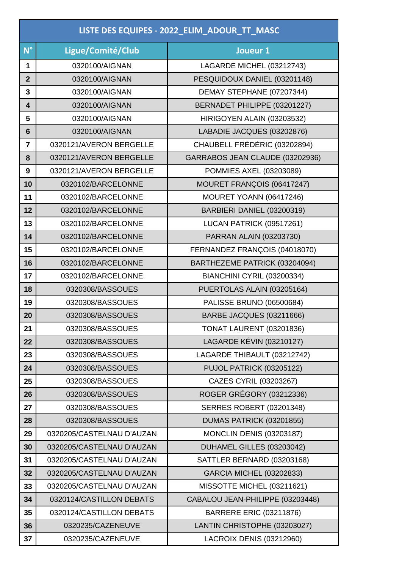| LISTE DES EQUIPES - 2022_ELIM_ADOUR_TT_MASC |                           |                                  |
|---------------------------------------------|---------------------------|----------------------------------|
| $N^{\circ}$                                 | Ligue/Comité/Club         | Joueur 1                         |
| 1                                           | 0320100/AIGNAN            | LAGARDE MICHEL (03212743)        |
| $\overline{2}$                              | 0320100/AIGNAN            | PESQUIDOUX DANIEL (03201148)     |
| 3                                           | 0320100/AIGNAN            | DEMAY STEPHANE (07207344)        |
| $\overline{\mathbf{4}}$                     | 0320100/AIGNAN            | BERNADET PHILIPPE (03201227)     |
| 5                                           | 0320100/AIGNAN            | HIRIGOYEN ALAIN (03203532)       |
| $6\phantom{1}6$                             | 0320100/AIGNAN            | LABADIE JACQUES (03202876)       |
| $\overline{7}$                              | 0320121/AVERON BERGELLE   | CHAUBELL FRÉDÉRIC (03202894)     |
| 8                                           | 0320121/AVERON BERGELLE   | GARRABOS JEAN CLAUDE (03202936)  |
| 9                                           | 0320121/AVERON BERGELLE   | POMMIES AXEL (03203089)          |
| 10                                          | 0320102/BARCELONNE        | MOURET FRANÇOIS (06417247)       |
| 11                                          | 0320102/BARCELONNE        | <b>MOURET YOANN (06417246)</b>   |
| 12                                          | 0320102/BARCELONNE        | BARBIERI DANIEL (03200319)       |
| 13                                          | 0320102/BARCELONNE        | LUCAN PATRICK (09517261)         |
| 14                                          | 0320102/BARCELONNE        | PARRAN ALAIN (03203730)          |
| 15                                          | 0320102/BARCELONNE        | FERNANDEZ FRANÇOIS (04018070)    |
| 16                                          | 0320102/BARCELONNE        | BARTHEZEME PATRICK (03204094)    |
| 17                                          | 0320102/BARCELONNE        | BIANCHINI CYRIL (03200334)       |
| 18                                          | 0320308/BASSOUES          | PUERTOLAS ALAIN (03205164)       |
| 19                                          | 0320308/BASSOUES          | <b>PALISSE BRUNO (06500684)</b>  |
| 20                                          | 0320308/BASSOUES          | BARBE JACQUES (03211666)         |
| 21                                          | 0320308/BASSOUES          | <b>TONAT LAURENT (03201836)</b>  |
| 22                                          | 0320308/BASSOUES          | LAGARDE KÉVIN (03210127)         |
| 23                                          | 0320308/BASSOUES          | LAGARDE THIBAULT (03212742)      |
| 24                                          | 0320308/BASSOUES          | PUJOL PATRICK (03205122)         |
| 25                                          | 0320308/BASSOUES          | CAZES CYRIL (03203267)           |
| 26                                          | 0320308/BASSOUES          | ROGER GRÉGORY (03212336)         |
| 27                                          | 0320308/BASSOUES          | <b>SERRES ROBERT (03201348)</b>  |
| 28                                          | 0320308/BASSOUES          | DUMAS PATRICK (03201855)         |
| 29                                          | 0320205/CASTELNAU D'AUZAN | <b>MONCLIN DENIS (03203187)</b>  |
| 30                                          | 0320205/CASTELNAU D'AUZAN | DUHAMEL GILLES (03203042)        |
| 31                                          | 0320205/CASTELNAU D'AUZAN | SATTLER BERNARD (03203168)       |
| 32                                          | 0320205/CASTELNAU D'AUZAN | <b>GARCIA MICHEL (03202833)</b>  |
| 33                                          | 0320205/CASTELNAU D'AUZAN | MISSOTTE MICHEL (03211621)       |
| 34                                          | 0320124/CASTILLON DEBATS  | CABALOU JEAN-PHILIPPE (03203448) |
| 35                                          | 0320124/CASTILLON DEBATS  | <b>BARRERE ERIC (03211876)</b>   |
| 36                                          | 0320235/CAZENEUVE         | LANTIN CHRISTOPHE (03203027)     |
| 37                                          | 0320235/CAZENEUVE         | LACROIX DENIS (03212960)         |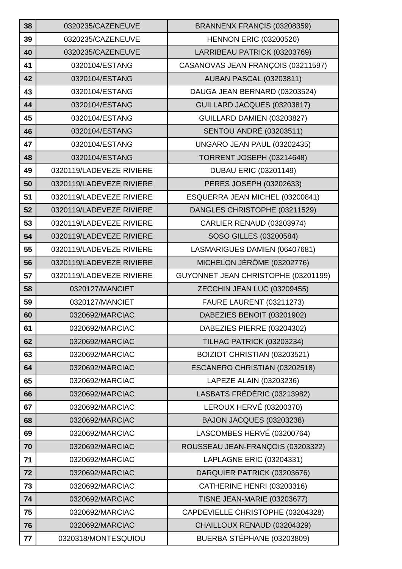| 38 | 0320235/CAZENEUVE        | BRANNENX FRANÇIS (03208359)         |
|----|--------------------------|-------------------------------------|
| 39 | 0320235/CAZENEUVE        | <b>HENNON ERIC (03200520)</b>       |
| 40 | 0320235/CAZENEUVE        | LARRIBEAU PATRICK (03203769)        |
| 41 | 0320104/ESTANG           | CASANOVAS JEAN FRANÇOIS (03211597)  |
| 42 | 0320104/ESTANG           | <b>AUBAN PASCAL (03203811)</b>      |
| 43 | 0320104/ESTANG           | DAUGA JEAN BERNARD (03203524)       |
| 44 | 0320104/ESTANG           | GUILLARD JACQUES (03203817)         |
| 45 | 0320104/ESTANG           | GUILLARD DAMIEN (03203827)          |
| 46 | 0320104/ESTANG           | <b>SENTOU ANDRÉ (03203511)</b>      |
| 47 | 0320104/ESTANG           | UNGARO JEAN PAUL (03202435)         |
| 48 | 0320104/ESTANG           | <b>TORRENT JOSEPH (03214648)</b>    |
| 49 | 0320119/LADEVEZE RIVIERE | <b>DUBAU ERIC (03201149)</b>        |
| 50 | 0320119/LADEVEZE RIVIERE | PERES JOSEPH (03202633)             |
| 51 | 0320119/LADEVEZE RIVIERE | ESQUERRA JEAN MICHEL (03200841)     |
| 52 | 0320119/LADEVEZE RIVIERE | DANGLES CHRISTOPHE (03211529)       |
| 53 | 0320119/LADEVEZE RIVIERE | <b>CARLIER RENAUD (03203974)</b>    |
| 54 | 0320119/LADEVEZE RIVIERE | SOSO GILLES (03200584)              |
| 55 | 0320119/LADEVEZE RIVIERE | LASMARIGUES DAMIEN (06407681)       |
| 56 | 0320119/LADEVEZE RIVIERE | MICHELON JÉRÔME (03202776)          |
| 57 | 0320119/LADEVEZE RIVIERE | GUYONNET JEAN CHRISTOPHE (03201199) |
| 58 | 0320127/MANCIET          | ZECCHIN JEAN LUC (03209455)         |
|    |                          |                                     |
| 59 | 0320127/MANCIET          | <b>FAURE LAURENT (03211273)</b>     |
| 60 | 0320692/MARCIAC          | DABEZIES BENOIT (03201902)          |
| 61 | 0320692/MARCIAC          | DABEZIES PIERRE (03204302)          |
| 62 | 0320692/MARCIAC          | TILHAC PATRICK (03203234)           |
| 63 | 0320692/MARCIAC          | BOIZIOT CHRISTIAN (03203521)        |
| 64 | 0320692/MARCIAC          | ESCANERO CHRISTIAN (03202518)       |
| 65 | 0320692/MARCIAC          | LAPEZE ALAIN (03203236)             |
| 66 | 0320692/MARCIAC          | LASBATS FRÉDÉRIC (03213982)         |
| 67 | 0320692/MARCIAC          | LEROUX HERVÉ (03200370)             |
| 68 | 0320692/MARCIAC          | BAJON JACQUES (03203238)            |
| 69 | 0320692/MARCIAC          | LASCOMBES HERVÉ (03200764)          |
| 70 | 0320692/MARCIAC          | ROUSSEAU JEAN-FRANÇOIS (03203322)   |
| 71 | 0320692/MARCIAC          | LAPLAGNE ERIC (03204331)            |
| 72 | 0320692/MARCIAC          | DARQUIER PATRICK (03203676)         |
| 73 | 0320692/MARCIAC          | CATHERINE HENRI (03203316)          |
| 74 | 0320692/MARCIAC          | <b>TISNE JEAN-MARIE (03203677)</b>  |
| 75 | 0320692/MARCIAC          | CAPDEVIELLE CHRISTOPHE (03204328)   |
| 76 | 0320692/MARCIAC          | CHAILLOUX RENAUD (03204329)         |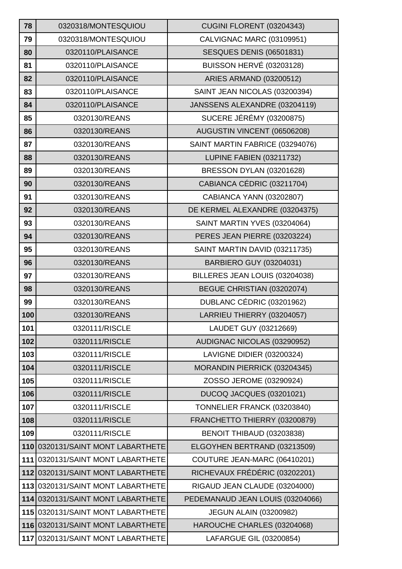| 78  | 0320318/MONTESQUIOU               | <b>CUGINI FLORENT (03204343)</b> |
|-----|-----------------------------------|----------------------------------|
| 79  | 0320318/MONTESQUIOU               | CALVIGNAC MARC (03109951)        |
| 80  | 0320110/PLAISANCE                 | <b>SESQUES DENIS (06501831)</b>  |
| 81  | 0320110/PLAISANCE                 | BUISSON HERVÉ (03203128)         |
| 82  | 0320110/PLAISANCE                 | <b>ARIES ARMAND (03200512)</b>   |
| 83  | 0320110/PLAISANCE                 | SAINT JEAN NICOLAS (03200394)    |
| 84  | 0320110/PLAISANCE                 | JANSSENS ALEXANDRE (03204119)    |
| 85  | 0320130/REANS                     | <b>SUCERE JÉRÉMY (03200875)</b>  |
| 86  | 0320130/REANS                     | AUGUSTIN VINCENT (06506208)      |
| 87  | 0320130/REANS                     | SAINT MARTIN FABRICE (03294076)  |
| 88  | 0320130/REANS                     | <b>LUPINE FABIEN (03211732)</b>  |
| 89  | 0320130/REANS                     | BRESSON DYLAN (03201628)         |
| 90  | 0320130/REANS                     | CABIANCA CÉDRIC (03211704)       |
| 91  | 0320130/REANS                     | CABIANCA YANN (03202807)         |
| 92  | 0320130/REANS                     | DE KERMEL ALEXANDRE (03204375)   |
| 93  | 0320130/REANS                     | SAINT MARTIN YVES (03204064)     |
| 94  | 0320130/REANS                     | PERES JEAN PIERRE (03203224)     |
| 95  | 0320130/REANS                     | SAINT MARTIN DAVID (03211735)    |
| 96  | 0320130/REANS                     | BARBIERO GUY (03204031)          |
| 97  | 0320130/REANS                     | BILLERES JEAN LOUIS (03204038)   |
| 98  | 0320130/REANS                     | BEGUE CHRISTIAN (03202074)       |
| 99  | 0320130/REANS                     | DUBLANC CÉDRIC (03201962)        |
| 100 | 0320130/REANS                     | LARRIEU THIERRY (03204057)       |
| 101 | 0320111/RISCLE                    | LAUDET GUY (03212669)            |
| 102 | 0320111/RISCLE                    | AUDIGNAC NICOLAS (03290952)      |
| 103 | 0320111/RISCLE                    | LAVIGNE DIDIER (03200324)        |
| 104 | 0320111/RISCLE                    | MORANDIN PIERRICK (03204345)     |
| 105 | 0320111/RISCLE                    | ZOSSO JEROME (03290924)          |
| 106 | 0320111/RISCLE                    | DUCOQ JACQUES (03201021)         |
| 107 | 0320111/RISCLE                    | TONNELIER FRANCK (03203840)      |
| 108 | 0320111/RISCLE                    | FRANCHETTO THIERRY (03200879)    |
| 109 | 0320111/RISCLE                    | BENOIT THIBAUD (03203838)        |
| 110 | 0320131/SAINT MONT LABARTHETE     | ELGOYHEN BERTRAND (03213509)     |
| 111 | 0320131/SAINT MONT LABARTHETE     | COUTURE JEAN-MARC (06410201)     |
|     | 112 0320131/SAINT MONT LABARTHETE | RICHEVAUX FRÉDÉRIC (03202201)    |
| 113 | 0320131/SAINT MONT LABARTHETE     | RIGAUD JEAN CLAUDE (03204000)    |
| 114 | 0320131/SAINT MONT LABARTHETE     | PEDEMANAUD JEAN LOUIS (03204066) |
| 115 | 0320131/SAINT MONT LABARTHETE     | <b>JEGUN ALAIN (03200982)</b>    |
|     | 116 0320131/SAINT MONT LABARTHETE | HAROUCHE CHARLES (03204068)      |
|     | 117 0320131/SAINT MONT LABARTHETE | LAFARGUE GIL (03200854)          |